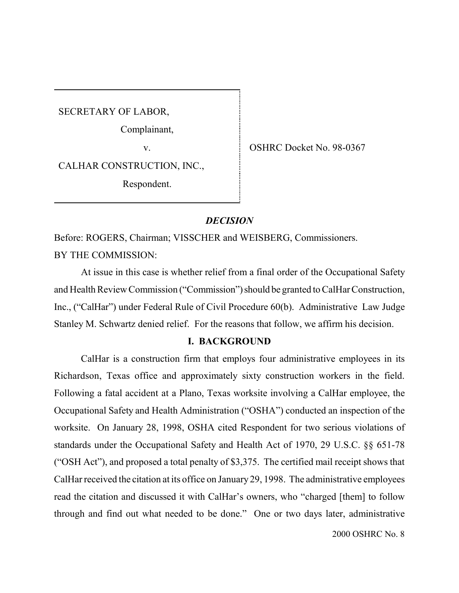SECRETARY OF LABOR,

Complainant,

CALHAR CONSTRUCTION, INC.,

Respondent.

v. SHRC Docket No. 98-0367

# *DECISION*

Before: ROGERS, Chairman; VISSCHER and WEISBERG, Commissioners. BY THE COMMISSION:

At issue in this case is whether relief from a final order of the Occupational Safety and Health Review Commission ("Commission") should be granted to CalHar Construction, Inc., ("CalHar") under Federal Rule of Civil Procedure 60(b). Administrative Law Judge Stanley M. Schwartz denied relief. For the reasons that follow, we affirm his decision.

# **I. BACKGROUND**

CalHar is a construction firm that employs four administrative employees in its Richardson, Texas office and approximately sixty construction workers in the field. Following a fatal accident at a Plano, Texas worksite involving a CalHar employee, the Occupational Safety and Health Administration ("OSHA") conducted an inspection of the worksite. On January 28, 1998, OSHA cited Respondent for two serious violations of standards under the Occupational Safety and Health Act of 1970, 29 U.S.C. §§ 651-78 ("OSH Act"), and proposed a total penalty of \$3,375. The certified mail receipt shows that CalHar received the citation at its office on January 29, 1998. The administrative employees read the citation and discussed it with CalHar's owners, who "charged [them] to follow through and find out what needed to be done." One or two days later, administrative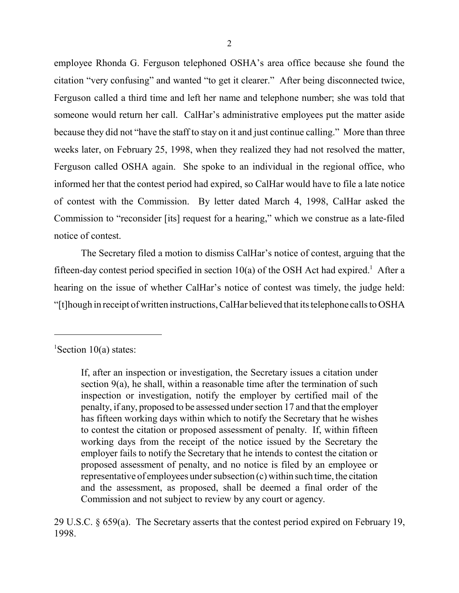employee Rhonda G. Ferguson telephoned OSHA's area office because she found the citation "very confusing" and wanted "to get it clearer." After being disconnected twice, Ferguson called a third time and left her name and telephone number; she was told that someone would return her call. CalHar's administrative employees put the matter aside because they did not "have the staff to stay on it and just continue calling." More than three weeks later, on February 25, 1998, when they realized they had not resolved the matter, Ferguson called OSHA again. She spoke to an individual in the regional office, who informed her that the contest period had expired, so CalHar would have to file a late notice of contest with the Commission. By letter dated March 4, 1998, CalHar asked the Commission to "reconsider [its] request for a hearing," which we construe as a late-filed notice of contest.

The Secretary filed a motion to dismiss CalHar's notice of contest, arguing that the fifteen-day contest period specified in section  $10(a)$  of the OSH Act had expired.<sup>1</sup> After a hearing on the issue of whether CalHar's notice of contest was timely, the judge held: "[t]hough in receipt of written instructions, CalHar believed that its telephone calls to OSHA

29 U.S.C. § 659(a). The Secretary asserts that the contest period expired on February 19, 1998.

<sup>&</sup>lt;sup>1</sup>Section 10(a) states:

If, after an inspection or investigation, the Secretary issues a citation under section 9(a), he shall, within a reasonable time after the termination of such inspection or investigation, notify the employer by certified mail of the penalty, if any, proposed to be assessed under section 17 and that the employer has fifteen working days within which to notify the Secretary that he wishes to contest the citation or proposed assessment of penalty. If, within fifteen working days from the receipt of the notice issued by the Secretary the employer fails to notify the Secretary that he intends to contest the citation or proposed assessment of penalty, and no notice is filed by an employee or representative of employees under subsection (c) within such time, the citation and the assessment, as proposed, shall be deemed a final order of the Commission and not subject to review by any court or agency.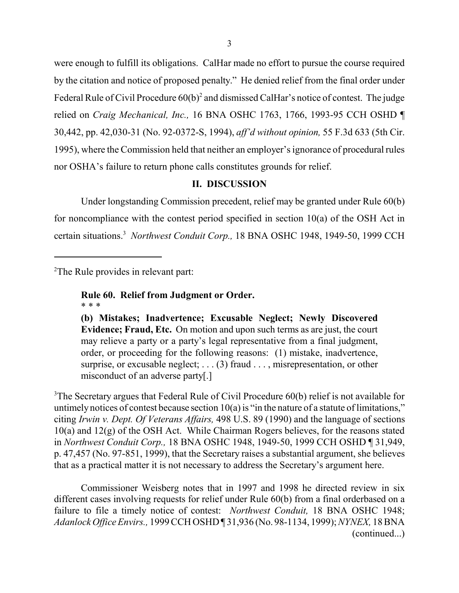were enough to fulfill its obligations. CalHar made no effort to pursue the course required by the citation and notice of proposed penalty." He denied relief from the final order under Federal Rule of Civil Procedure  $60(b)^2$  and dismissed CalHar's notice of contest. The judge relied on *Craig Mechanical, Inc.,* 16 BNA OSHC 1763, 1766, 1993-95 CCH OSHD ¶ 30,442, pp. 42,030-31 (No. 92-0372-S, 1994), *aff'd without opinion,* 55 F.3d 633 (5th Cir. 1995), where the Commission held that neither an employer's ignorance of procedural rules nor OSHA's failure to return phone calls constitutes grounds for relief.

## **II. DISCUSSION**

Under longstanding Commission precedent, relief may be granted under Rule 60(b) for noncompliance with the contest period specified in section 10(a) of the OSH Act in certain situations.3 *Northwest Conduit Corp.,* 18 BNA OSHC 1948, 1949-50, 1999 CCH

<sup>2</sup>The Rule provides in relevant part:

 **Rule 60. Relief from Judgment or Order.** \* \* \*

**(b) Mistakes; Inadvertence; Excusable Neglect; Newly Discovered Evidence; Fraud, Etc.** On motion and upon such terms as are just, the court may relieve a party or a party's legal representative from a final judgment, order, or proceeding for the following reasons: (1) mistake, inadvertence, surprise, or excusable neglect; . . . (3) fraud . . . , misrepresentation, or other misconduct of an adverse party[.]

 $3$ The Secretary argues that Federal Rule of Civil Procedure 60(b) relief is not available for untimely notices of contest because section  $10(a)$  is "in the nature of a statute of limitations," citing *Irwin v. Dept. Of Veterans Affairs,* 498 U.S. 89 (1990) and the language of sections 10(a) and 12(g) of the OSH Act. While Chairman Rogers believes, for the reasons stated in *Northwest Conduit Corp.,* 18 BNA OSHC 1948, 1949-50, 1999 CCH OSHD ¶ 31,949, p. 47,457 (No. 97-851, 1999), that the Secretary raises a substantial argument, she believes that as a practical matter it is not necessary to address the Secretary's argument here.

Commissioner Weisberg notes that in 1997 and 1998 he directed review in six different cases involving requests for relief under Rule 60(b) from a final orderbased on a failure to file a timely notice of contest: *Northwest Conduit,* 18 BNA OSHC 1948; *Adanlock Office Envirs.,* 1999 CCH OSHD ¶ 31,936 (No. 98-1134, 1999); *NYNEX,* 18 BNA (continued...)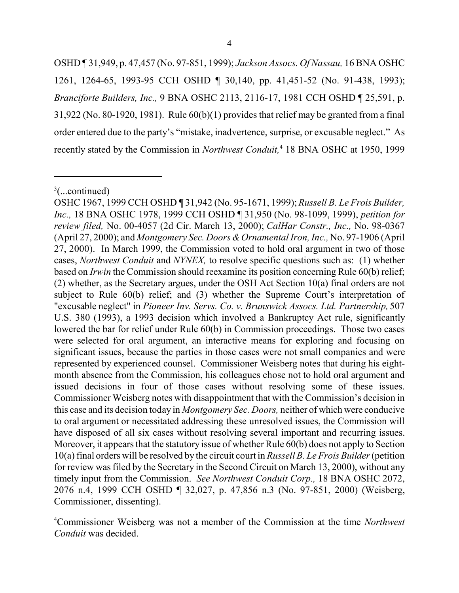OSHD ¶ 31,949, p. 47,457 (No. 97-851, 1999); *Jackson Assocs. Of Nassau,* 16 BNA OSHC 1261, 1264-65, 1993-95 CCH OSHD ¶ 30,140, pp. 41,451-52 (No. 91-438, 1993); *Branciforte Builders, Inc.,* 9 BNA OSHC 2113, 2116-17, 1981 CCH OSHD ¶ 25,591, p. 31,922 (No. 80-1920, 1981). Rule 60(b)(1) provides that relief may be granted from a final order entered due to the party's "mistake, inadvertence, surprise, or excusable neglect." As recently stated by the Commission in *Northwest Conduit*,<sup>4</sup> 18 BNA OSHC at 1950, 1999

 $3$ (...continued)

OSHC 1967, 1999 CCH OSHD ¶ 31,942 (No. 95-1671, 1999); *Russell B. Le Frois Builder, Inc.,* 18 BNA OSHC 1978, 1999 CCH OSHD ¶ 31,950 (No. 98-1099, 1999), *petition for review filed,* No. 00-4057 (2d Cir. March 13, 2000); *CalHar Constr., Inc.,* No. 98-0367 (April 27, 2000); and *Montgomery Sec. Doors & Ornamental Iron, Inc.,* No. 97-1906 (April 27, 2000). In March 1999, the Commission voted to hold oral argument in two of those cases, *Northwest Conduit* and *NYNEX,* to resolve specific questions such as: (1) whether based on *Irwin* the Commission should reexamine its position concerning Rule 60(b) relief; (2) whether, as the Secretary argues, under the OSH Act Section 10(a) final orders are not subject to Rule 60(b) relief; and (3) whether the Supreme Court's interpretation of "excusable neglect" in *Pioneer Inv. Servs. Co. v. Brunswick Assocs. Ltd. Partnership*, 507 U.S. 380 (1993), a 1993 decision which involved a Bankruptcy Act rule, significantly lowered the bar for relief under Rule 60(b) in Commission proceedings. Those two cases were selected for oral argument, an interactive means for exploring and focusing on significant issues, because the parties in those cases were not small companies and were represented by experienced counsel. Commissioner Weisberg notes that during his eightmonth absence from the Commission, his colleagues chose not to hold oral argument and issued decisions in four of those cases without resolving some of these issues. Commissioner Weisberg notes with disappointment that with the Commission's decision in this case and its decision today in *Montgomery Sec. Doors,* neither of which were conducive to oral argument or necessitated addressing these unresolved issues, the Commission will have disposed of all six cases without resolving several important and recurring issues. Moreover, it appears that the statutory issue of whether Rule 60(b) does not apply to Section 10(a) final orders will be resolved by the circuit court in *Russell B. Le Frois Builder* (petition for review was filed by the Secretary in the Second Circuit on March 13, 2000), without any timely input from the Commission. *See Northwest Conduit Corp.,* 18 BNA OSHC 2072, 2076 n.4, 1999 CCH OSHD ¶ 32,027, p. 47,856 n.3 (No. 97-851, 2000) (Weisberg, Commissioner, dissenting).

<sup>4</sup> Commissioner Weisberg was not a member of the Commission at the time *Northwest Conduit* was decided.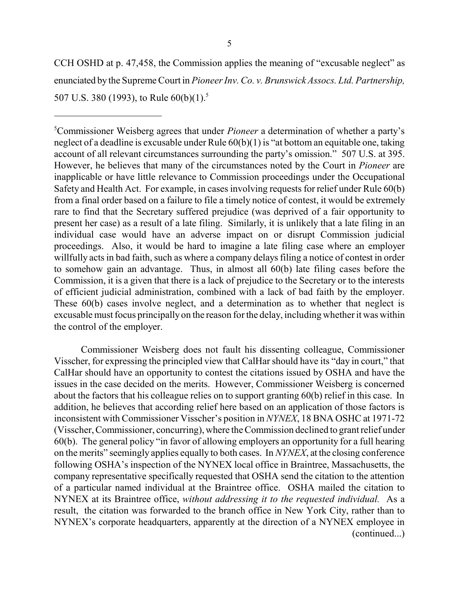CCH OSHD at p. 47,458, the Commission applies the meaning of "excusable neglect" as enunciated by the Supreme Court in *Pioneer Inv. Co. v. Brunswick Assocs. Ltd. Partnership,* 507 U.S. 380 (1993), to Rule 60(b)(1).<sup>5</sup>

Commissioner Weisberg does not fault his dissenting colleague, Commissioner Visscher, for expressing the principled view that CalHar should have its "day in court," that CalHar should have an opportunity to contest the citations issued by OSHA and have the issues in the case decided on the merits. However, Commissioner Weisberg is concerned about the factors that his colleague relies on to support granting 60(b) relief in this case. In addition, he believes that according relief here based on an application of those factors is inconsistent with Commissioner Visscher's position in *NYNEX*, 18 BNA OSHC at 1971-72 (Visscher, Commissioner, concurring), where the Commission declined to grant relief under 60(b). The general policy "in favor of allowing employers an opportunity for a full hearing on the merits" seemingly applies equally to both cases. In *NYNEX*, at the closing conference following OSHA's inspection of the NYNEX local office in Braintree, Massachusetts, the company representative specifically requested that OSHA send the citation to the attention of a particular named individual at the Braintree office. OSHA mailed the citation to NYNEX at its Braintree office, *without addressing it to the requested individual.* As a result, the citation was forwarded to the branch office in New York City, rather than to NYNEX's corporate headquarters, apparently at the direction of a NYNEX employee in (continued...)

<sup>5</sup> Commissioner Weisberg agrees that under *Pioneer* a determination of whether a party's neglect of a deadline is excusable under Rule 60(b)(1) is "at bottom an equitable one, taking account of all relevant circumstances surrounding the party's omission." 507 U.S. at 395. However, he believes that many of the circumstances noted by the Court in *Pioneer* are inapplicable or have little relevance to Commission proceedings under the Occupational Safety and Health Act. For example, in cases involving requests for relief under Rule 60(b) from a final order based on a failure to file a timely notice of contest, it would be extremely rare to find that the Secretary suffered prejudice (was deprived of a fair opportunity to present her case) as a result of a late filing. Similarly, it is unlikely that a late filing in an individual case would have an adverse impact on or disrupt Commission judicial proceedings. Also, it would be hard to imagine a late filing case where an employer willfully acts in bad faith, such as where a company delays filing a notice of contest in order to somehow gain an advantage. Thus, in almost all 60(b) late filing cases before the Commission, it is a given that there is a lack of prejudice to the Secretary or to the interests of efficient judicial administration, combined with a lack of bad faith by the employer. These  $60(b)$  cases involve neglect, and a determination as to whether that neglect is excusable must focus principally on the reason for the delay, including whether it was within the control of the employer.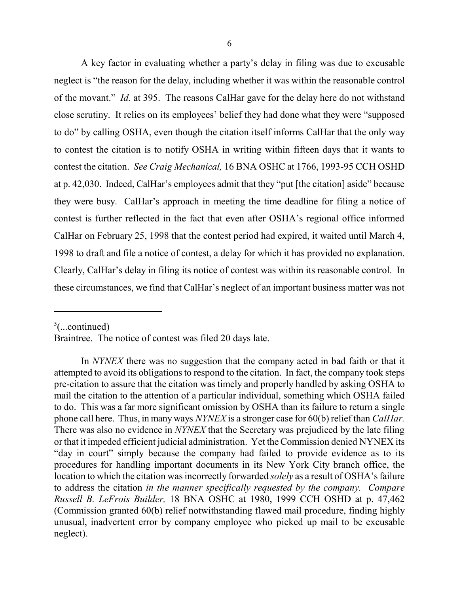A key factor in evaluating whether a party's delay in filing was due to excusable neglect is "the reason for the delay, including whether it was within the reasonable control of the movant." *Id.* at 395. The reasons CalHar gave for the delay here do not withstand close scrutiny. It relies on its employees' belief they had done what they were "supposed to do" by calling OSHA, even though the citation itself informs CalHar that the only way to contest the citation is to notify OSHA in writing within fifteen days that it wants to contest the citation. *See Craig Mechanical,* 16 BNA OSHC at 1766, 1993-95 CCH OSHD at p. 42,030. Indeed, CalHar's employees admit that they "put [the citation] aside" because they were busy. CalHar's approach in meeting the time deadline for filing a notice of contest is further reflected in the fact that even after OSHA's regional office informed CalHar on February 25, 1998 that the contest period had expired, it waited until March 4, 1998 to draft and file a notice of contest, a delay for which it has provided no explanation. Clearly, CalHar's delay in filing its notice of contest was within its reasonable control. In these circumstances, we find that CalHar's neglect of an important business matter was not

5 (...continued)

Braintree. The notice of contest was filed 20 days late.

In *NYNEX* there was no suggestion that the company acted in bad faith or that it attempted to avoid its obligations to respond to the citation. In fact, the company took steps pre-citation to assure that the citation was timely and properly handled by asking OSHA to mail the citation to the attention of a particular individual, something which OSHA failed to do. This was a far more significant omission by OSHA than its failure to return a single phone call here. Thus, in many ways *NYNEX* is a stronger case for 60(b) relief than *CalHar.* There was also no evidence in *NYNEX* that the Secretary was prejudiced by the late filing or that it impeded efficient judicial administration. Yet the Commission denied NYNEX its "day in court" simply because the company had failed to provide evidence as to its procedures for handling important documents in its New York City branch office, the location to which the citation was incorrectly forwarded *solely* as a result of OSHA's failure to address the citation *in the manner specifically requested by the company. Compare Russell B. LeFrois Builder,* 18 BNA OSHC at 1980, 1999 CCH OSHD at p. 47,462 (Commission granted 60(b) relief notwithstanding flawed mail procedure, finding highly unusual, inadvertent error by company employee who picked up mail to be excusable neglect).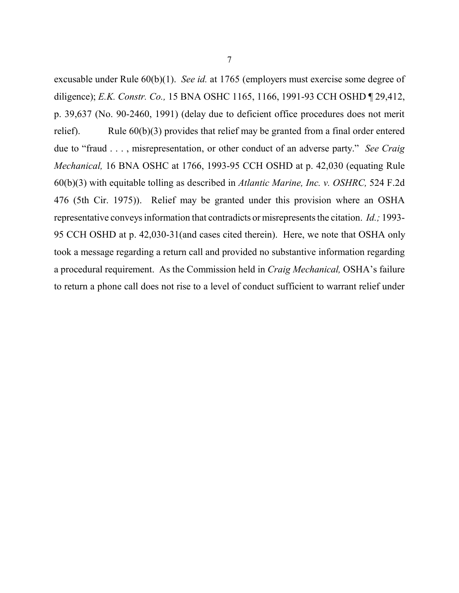excusable under Rule 60(b)(1). *See id.* at 1765 (employers must exercise some degree of diligence); *E.K. Constr. Co.,* 15 BNA OSHC 1165, 1166, 1991-93 CCH OSHD ¶ 29,412, p. 39,637 (No. 90-2460, 1991) (delay due to deficient office procedures does not merit relief). Rule  $60(b)(3)$  provides that relief may be granted from a final order entered due to "fraud . . . , misrepresentation, or other conduct of an adverse party." *See Craig Mechanical,* 16 BNA OSHC at 1766, 1993-95 CCH OSHD at p. 42,030 (equating Rule 60(b)(3) with equitable tolling as described in *Atlantic Marine, Inc. v. OSHRC,* 524 F.2d 476 (5th Cir. 1975)). Relief may be granted under this provision where an OSHA representative conveys information that contradicts or misrepresents the citation. *Id.;* 1993- 95 CCH OSHD at p. 42,030-31(and cases cited therein). Here, we note that OSHA only took a message regarding a return call and provided no substantive information regarding a procedural requirement. As the Commission held in *Craig Mechanical,* OSHA's failure to return a phone call does not rise to a level of conduct sufficient to warrant relief under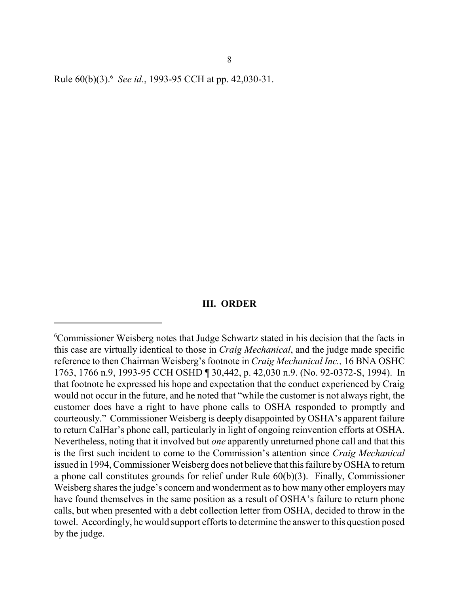Rule 60(b)(3).6 *See id.*, 1993-95 CCH at pp. 42,030-31.

#### **III. ORDER**

<sup>6</sup> Commissioner Weisberg notes that Judge Schwartz stated in his decision that the facts in this case are virtually identical to those in *Craig Mechanical*, and the judge made specific reference to then Chairman Weisberg's footnote in *Craig Mechanical Inc.,* 16 BNA OSHC 1763, 1766 n.9, 1993-95 CCH OSHD ¶ 30,442, p. 42,030 n.9. (No. 92-0372-S, 1994). In that footnote he expressed his hope and expectation that the conduct experienced by Craig would not occur in the future, and he noted that "while the customer is not always right, the customer does have a right to have phone calls to OSHA responded to promptly and courteously." Commissioner Weisberg is deeply disappointed by OSHA's apparent failure to return CalHar's phone call, particularly in light of ongoing reinvention efforts at OSHA. Nevertheless, noting that it involved but *one* apparently unreturned phone call and that this is the first such incident to come to the Commission's attention since *Craig Mechanical* issued in 1994, Commissioner Weisberg does not believe that this failure by OSHA to return a phone call constitutes grounds for relief under Rule 60(b)(3). Finally, Commissioner Weisberg shares the judge's concern and wonderment as to how many other employers may have found themselves in the same position as a result of OSHA's failure to return phone calls, but when presented with a debt collection letter from OSHA, decided to throw in the towel. Accordingly, he would support efforts to determine the answer to this question posed by the judge.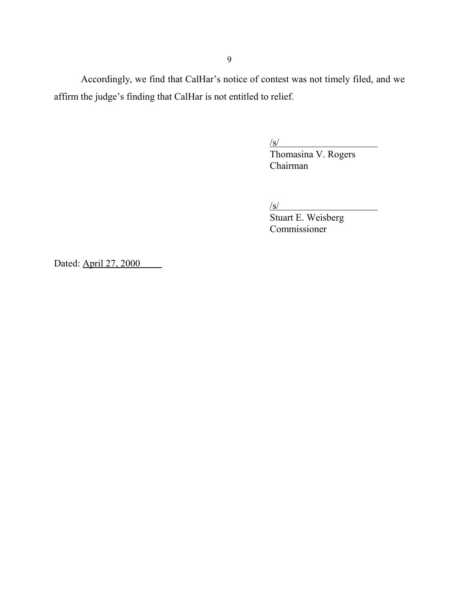Accordingly, we find that CalHar's notice of contest was not timely filed, and we affirm the judge's finding that CalHar is not entitled to relief.

 $\sqrt{s/}$ 

Thomasina V. Rogers Chairman

 $/s/$ 

 $\frac{S}{S}$ Stuart E. Weisberg Commissioner

Dated: April 27, 2000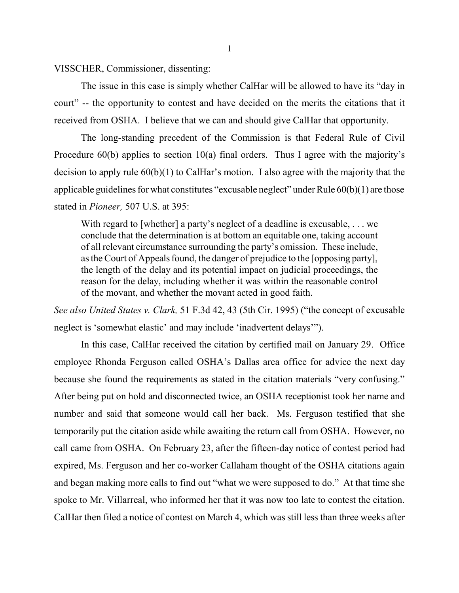VISSCHER, Commissioner, dissenting:

The issue in this case is simply whether CalHar will be allowed to have its "day in court" -- the opportunity to contest and have decided on the merits the citations that it received from OSHA. I believe that we can and should give CalHar that opportunity.

The long-standing precedent of the Commission is that Federal Rule of Civil Procedure 60(b) applies to section 10(a) final orders. Thus I agree with the majority's decision to apply rule 60(b)(1) to CalHar's motion. I also agree with the majority that the applicable guidelines for what constitutes "excusable neglect" under Rule 60(b)(1) are those stated in *Pioneer,* 507 U.S. at 395:

With regard to [whether] a party's neglect of a deadline is excusable, ... we conclude that the determination is at bottom an equitable one, taking account of all relevant circumstance surrounding the party's omission. These include, as the Court of Appeals found, the danger of prejudice to the [opposing party], the length of the delay and its potential impact on judicial proceedings, the reason for the delay, including whether it was within the reasonable control of the movant, and whether the movant acted in good faith.

*See also United States v. Clark,* 51 F.3d 42, 43 (5th Cir. 1995) ("the concept of excusable neglect is 'somewhat elastic' and may include 'inadvertent delays'").

In this case, CalHar received the citation by certified mail on January 29. Office employee Rhonda Ferguson called OSHA's Dallas area office for advice the next day because she found the requirements as stated in the citation materials "very confusing." After being put on hold and disconnected twice, an OSHA receptionist took her name and number and said that someone would call her back. Ms. Ferguson testified that she temporarily put the citation aside while awaiting the return call from OSHA. However, no call came from OSHA. On February 23, after the fifteen-day notice of contest period had expired, Ms. Ferguson and her co-worker Callaham thought of the OSHA citations again and began making more calls to find out "what we were supposed to do." At that time she spoke to Mr. Villarreal, who informed her that it was now too late to contest the citation. CalHar then filed a notice of contest on March 4, which was still less than three weeks after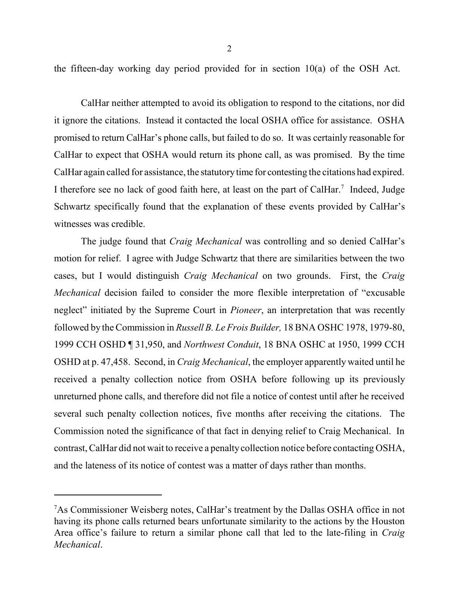the fifteen-day working day period provided for in section 10(a) of the OSH Act.

CalHar neither attempted to avoid its obligation to respond to the citations, nor did it ignore the citations. Instead it contacted the local OSHA office for assistance. OSHA promised to return CalHar's phone calls, but failed to do so. It was certainly reasonable for CalHar to expect that OSHA would return its phone call, as was promised. By the time CalHar again called for assistance, the statutory time for contesting the citations had expired. I therefore see no lack of good faith here, at least on the part of CalHar.<sup>7</sup> Indeed, Judge Schwartz specifically found that the explanation of these events provided by CalHar's witnesses was credible.

The judge found that *Craig Mechanical* was controlling and so denied CalHar's motion for relief. I agree with Judge Schwartz that there are similarities between the two cases, but I would distinguish *Craig Mechanical* on two grounds. First, the *Craig Mechanical* decision failed to consider the more flexible interpretation of "excusable neglect" initiated by the Supreme Court in *Pioneer*, an interpretation that was recently followed by the Commission in *Russell B. Le Frois Builder,* 18 BNA OSHC 1978, 1979-80, 1999 CCH OSHD ¶ 31,950, and *Northwest Conduit*, 18 BNA OSHC at 1950, 1999 CCH OSHD at p. 47,458. Second, in *Craig Mechanical*, the employer apparently waited until he received a penalty collection notice from OSHA before following up its previously unreturned phone calls, and therefore did not file a notice of contest until after he received several such penalty collection notices, five months after receiving the citations. The Commission noted the significance of that fact in denying relief to Craig Mechanical. In contrast, CalHar did not wait to receive a penalty collection notice before contacting OSHA, and the lateness of its notice of contest was a matter of days rather than months.

<sup>7</sup> As Commissioner Weisberg notes, CalHar's treatment by the Dallas OSHA office in not having its phone calls returned bears unfortunate similarity to the actions by the Houston Area office's failure to return a similar phone call that led to the late-filing in *Craig Mechanical*.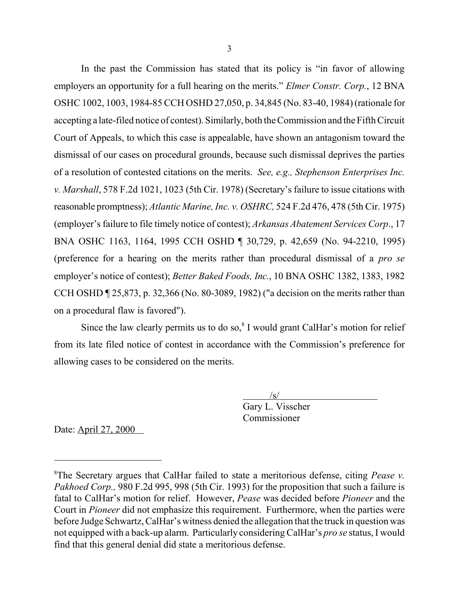In the past the Commission has stated that its policy is "in favor of allowing employers an opportunity for a full hearing on the merits." *Elmer Constr. Corp.*, 12 BNA OSHC 1002, 1003, 1984-85 CCH OSHD 27,050, p. 34,845 (No. 83-40, 1984) (rationale for accepting a late-filed notice of contest). Similarly, both the Commission and the Fifth Circuit Court of Appeals, to which this case is appealable, have shown an antagonism toward the dismissal of our cases on procedural grounds, because such dismissal deprives the parties of a resolution of contested citations on the merits. *See, e.g., Stephenson Enterprises Inc. v. Marshall*, 578 F.2d 1021, 1023 (5th Cir. 1978) (Secretary's failure to issue citations with reasonable promptness); *Atlantic Marine, Inc. v. OSHRC,* 524 F.2d 476, 478 (5th Cir. 1975) (employer's failure to file timely notice of contest); *Arkansas Abatement Services Corp*., 17 BNA OSHC 1163, 1164, 1995 CCH OSHD ¶ 30,729, p. 42,659 (No. 94-2210, 1995) (preference for a hearing on the merits rather than procedural dismissal of a *pro se* employer's notice of contest); *Better Baked Foods, Inc.*, 10 BNA OSHC 1382, 1383, 1982 CCH OSHD ¶ 25,873, p. 32,366 (No. 80-3089, 1982) ("a decision on the merits rather than on a procedural flaw is favored").

Since the law clearly permits us to do so, $8$  I would grant CalHar's motion for relief from its late filed notice of contest in accordance with the Commission's preference for allowing cases to be considered on the merits.

> $\sqrt{s/}$ Gary L. Visscher Commissioner

Date: April 27, 2000

<sup>8</sup> The Secretary argues that CalHar failed to state a meritorious defense, citing *Pease v. Pakhoed Corp.,* 980 F.2d 995, 998 (5th Cir. 1993) for the proposition that such a failure is fatal to CalHar's motion for relief. However, *Pease* was decided before *Pioneer* and the Court in *Pioneer* did not emphasize this requirement. Furthermore, when the parties were before Judge Schwartz, CalHar's witness denied the allegation that the truck in question was not equipped with a back-up alarm. Particularly considering CalHar's *pro se* status, I would find that this general denial did state a meritorious defense.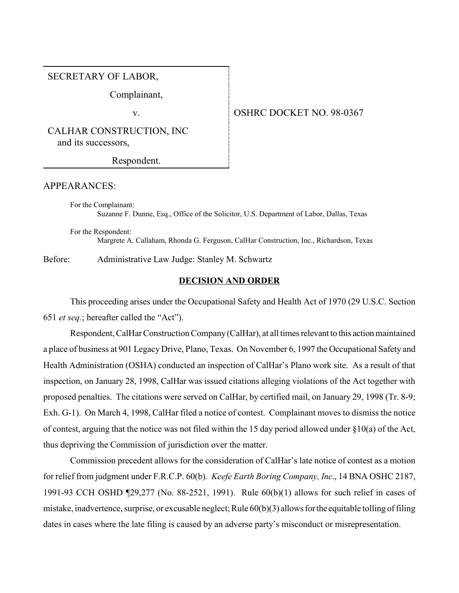### SECRETARY OF LABOR,

Complainant,

v. SOUTH STATE OF STREET NO. 98-0367

CALHAR CONSTRUCTION, INC and its successors,

Respondent.

### APPEARANCES:

For the Complainant: Suzanne F. Dunne, Esq., Office of the Solicitor, U.S. Department of Labor, Dallas, Texas

For the Respondent: Margrete A. Callaham, Rhonda G. Ferguson, CalHar Construction, Inc., Richardson, Texas

Before: Administrative Law Judge: Stanley M. Schwartz

#### **DECISION AND ORDER**

This proceeding arises under the Occupational Safety and Health Act of 1970 (29 U.S.C. Section 651 *et seq.*; hereafter called the "Act").

Respondent, CalHar Construction Company (CalHar), at all times relevant to this action maintained a place of business at 901 Legacy Drive, Plano, Texas. On November 6, 1997 the Occupational Safety and Health Administration (OSHA) conducted an inspection of CalHar's Plano work site. As a result of that inspection, on January 28, 1998, CalHar was issued citations alleging violations of the Act together with proposed penalties. The citations were served on CalHar, by certified mail, on January 29, 1998 (Tr. 8-9; Exh. G-1). On March 4, 1998, CalHar filed a notice of contest. Complainant moves to dismiss the notice of contest, arguing that the notice was not filed within the 15 day period allowed under §10(a) of the Act, thus depriving the Commission of jurisdiction over the matter.

Commission precedent allows for the consideration of CalHar's late notice of contest as a motion for relief from judgment under F.R.C.P. 60(b)*. Keefe Earth Boring Company, Inc*., 14 BNA OSHC 2187, 1991-93 CCH OSHD ¶29,277 (No. 88-2521, 1991). Rule 60(b)(1) allows for such relief in cases of mistake, inadvertence, surprise, or excusable neglect; Rule 60(b)(3) allows for the equitable tolling of filing dates in cases where the late filing is caused by an adverse party's misconduct or misrepresentation.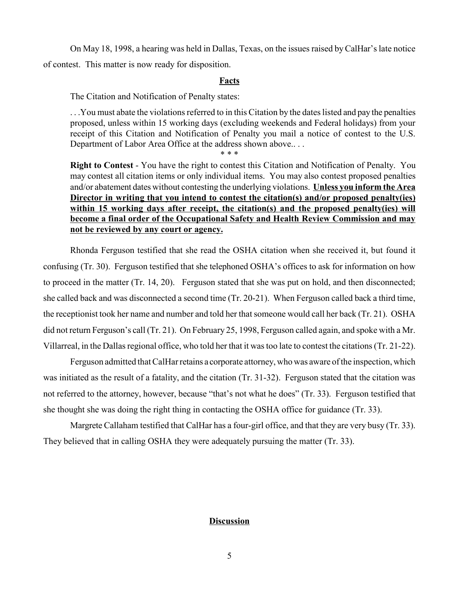On May 18, 1998, a hearing was held in Dallas, Texas, on the issues raised by CalHar's late notice of contest. This matter is now ready for disposition.

#### **Facts**

The Citation and Notification of Penalty states:

. . .You must abate the violations referred to in this Citation by the dates listed and pay the penalties proposed, unless within 15 working days (excluding weekends and Federal holidays) from your receipt of this Citation and Notification of Penalty you mail a notice of contest to the U.S. Department of Labor Area Office at the address shown above.. . .

\* \* \*

**Right to Contest** - You have the right to contest this Citation and Notification of Penalty. You may contest all citation items or only individual items. You may also contest proposed penalties and/or abatement dates without contesting the underlying violations. **Unless you inform the Area Director in writing that you intend to contest the citation(s) and/or proposed penalty(ies) within 15 working days after receipt, the citation(s) and the proposed penalty(ies) will become a final order of the Occupational Safety and Health Review Commission and may not be reviewed by any court or agency.**

Rhonda Ferguson testified that she read the OSHA citation when she received it, but found it confusing (Tr. 30). Ferguson testified that she telephoned OSHA's offices to ask for information on how to proceed in the matter (Tr. 14, 20). Ferguson stated that she was put on hold, and then disconnected; she called back and was disconnected a second time (Tr. 20-21). When Ferguson called back a third time, the receptionist took her name and number and told her that someone would call her back (Tr. 21). OSHA did not return Ferguson's call (Tr. 21). On February 25, 1998, Ferguson called again, and spoke with a Mr. Villarreal, in the Dallas regional office, who told her that it was too late to contest the citations (Tr. 21-22).

Ferguson admitted that CalHar retains a corporate attorney, who was aware of the inspection, which was initiated as the result of a fatality, and the citation (Tr. 31-32). Ferguson stated that the citation was not referred to the attorney, however, because "that's not what he does" (Tr. 33). Ferguson testified that she thought she was doing the right thing in contacting the OSHA office for guidance (Tr. 33).

Margrete Callaham testified that CalHar has a four-girl office, and that they are very busy (Tr. 33). They believed that in calling OSHA they were adequately pursuing the matter (Tr. 33).

### **Discussion**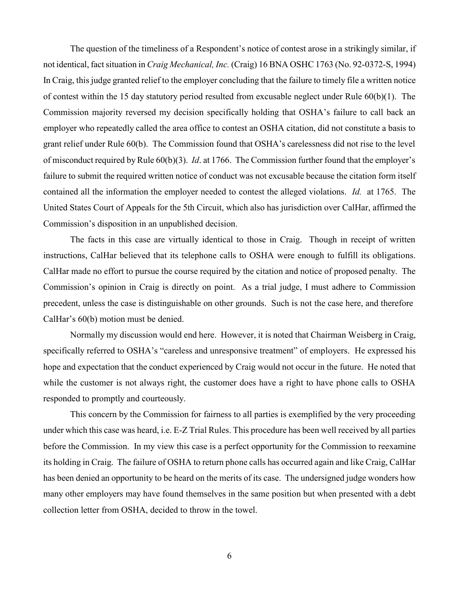The question of the timeliness of a Respondent's notice of contest arose in a strikingly similar, if not identical, fact situation in *Craig Mechanical, Inc.* (Craig) 16 BNA OSHC 1763 (No. 92-0372-S, 1994) In Craig, this judge granted relief to the employer concluding that the failure to timely file a written notice of contest within the 15 day statutory period resulted from excusable neglect under Rule 60(b)(1). The Commission majority reversed my decision specifically holding that OSHA's failure to call back an employer who repeatedly called the area office to contest an OSHA citation, did not constitute a basis to grant relief under Rule 60(b). The Commission found that OSHA's carelessness did not rise to the level of misconduct required by Rule 60(b)(3). *Id*. at 1766. The Commission further found that the employer's failure to submit the required written notice of conduct was not excusable because the citation form itself contained all the information the employer needed to contest the alleged violations. *Id.* at 1765. The United States Court of Appeals for the 5th Circuit, which also has jurisdiction over CalHar, affirmed the Commission's disposition in an unpublished decision.

The facts in this case are virtually identical to those in Craig. Though in receipt of written instructions, CalHar believed that its telephone calls to OSHA were enough to fulfill its obligations. CalHar made no effort to pursue the course required by the citation and notice of proposed penalty. The Commission's opinion in Craig is directly on point. As a trial judge, I must adhere to Commission precedent, unless the case is distinguishable on other grounds. Such is not the case here, and therefore CalHar's 60(b) motion must be denied.

Normally my discussion would end here. However, it is noted that Chairman Weisberg in Craig, specifically referred to OSHA's "careless and unresponsive treatment" of employers. He expressed his hope and expectation that the conduct experienced by Craig would not occur in the future. He noted that while the customer is not always right, the customer does have a right to have phone calls to OSHA responded to promptly and courteously.

This concern by the Commission for fairness to all parties is exemplified by the very proceeding under which this case was heard, i.e. E-Z Trial Rules. This procedure has been well received by all parties before the Commission. In my view this case is a perfect opportunity for the Commission to reexamine its holding in Craig. The failure of OSHA to return phone calls has occurred again and like Craig, CalHar has been denied an opportunity to be heard on the merits of its case. The undersigned judge wonders how many other employers may have found themselves in the same position but when presented with a debt collection letter from OSHA, decided to throw in the towel.